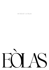SUNDAY LUNCH

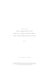# WINE FLIGHT

Starter / Riesling 'Solitar' S.A. Prum Main Course / Chateau Tour St Bonnet, Medoc Dessert / Botrytis Semillon, Deen Vat 5, De Bortoli

£20PP

ALL GLASSES ARE 125ML

*Food and Beverage intolerances: before you order your food and drinks please speak to our staff if you would like to know about our ingredients. We cannot guarantee that any food or beverage item sold is free from traces of allergens.*